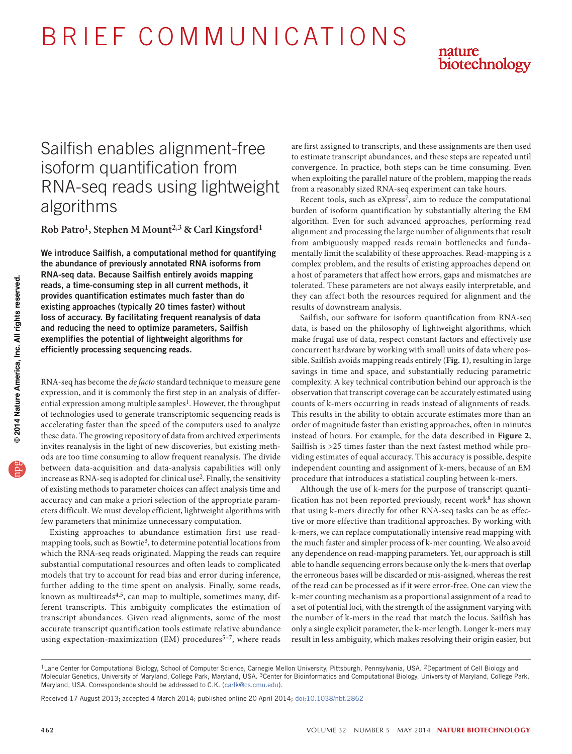B R I E F C O M M U N I C AT I O N S



# Sailfish enables alignment-free isoform quantification from RNA-seq reads using lightweight algorithms

**Rob Patro1, Stephen M Mount2,3 & Carl Kingsford1**

We introduce Sailfish, a computational method for quantifying the abundance of previously annotated RNA isoforms from RNA-seq data. Because Sailfish entirely avoids mapping reads, a time-consuming step in all current methods, it provides quantification estimates much faster than do existing approaches (typically 20 times faster) without loss of accuracy. By facilitating frequent reanalysis of data and reducing the need to optimize parameters, Sailfish exemplifies the potential of lightweight algorithms for efficiently processing sequencing reads.

RNA-seq has become the *de facto* standard technique to measure gene expression, and it is commonly the first step in an analysis of differ-ential expression among multiple samples<sup>[1](#page-2-0)</sup>. However, the throughput of technologies used to generate transcriptomic sequencing reads is accelerating faster than the speed of the computers used to analyze these data. The growing repository of data from archived experiments invites reanalysis in the light of new discoveries, but existing methods are too time consuming to allow frequent reanalysis. The divide between data-acquisition and data-analysis capabilities will only increase as RNA-seq is adopted for clinical us[e2](#page-2-1). Finally, the sensitivity of existing methods to parameter choices can affect analysis time and accuracy and can make a priori selection of the appropriate parameters difficult. We must develop efficient, lightweight algorithms with few parameters that minimize unnecessary computation.

Existing approaches to abundance estimation first use readmapping tools, such as Bowtie[3](#page-2-2), to determine potential locations from which the RNA-seq reads originated. Mapping the reads can require substantial computational resources and often leads to complicated models that try to account for read bias and error during inference, further adding to the time spent on analysis. Finally, some reads, known as multireads[4,](#page-2-3)[5](#page-2-4), can map to multiple, sometimes many, different transcripts. This ambiguity complicates the estimation of transcript abundances. Given read alignments, some of the most accurate transcript quantification tools estimate relative abundance using expectation-maximization (EM) procedures<sup>5-[7](#page-2-5)</sup>, where reads

are first assigned to transcripts, and these assignments are then used to estimate transcript abundances, and these steps are repeated until convergence. In practice, both steps can be time consuming. Even when exploiting the parallel nature of the problem, mapping the reads from a reasonably sized RNA-seq experiment can take hours.

Recent tools, such as eXpress<sup>[7](#page-2-5)</sup>, aim to reduce the computational burden of isoform quantification by substantially altering the EM algorithm. Even for such advanced approaches, performing read alignment and processing the large number of alignments that result from ambiguously mapped reads remain bottlenecks and fundamentally limit the scalability of these approaches. Read-mapping is a complex problem, and the results of existing approaches depend on a host of parameters that affect how errors, gaps and mismatches are tolerated. These parameters are not always easily interpretable, and they can affect both the resources required for alignment and the results of downstream analysis.

Sailfish, our software for isoform quantification from RNA-seq data, is based on the philosophy of lightweight algorithms, which make frugal use of data, respect constant factors and effectively use concurrent hardware by working with small units of data where possible. Sailfish avoids mapping reads entirely (**[Fig. 1](#page-1-0)**), resulting in large savings in time and space, and substantially reducing parametric complexity. A key technical contribution behind our approach is the observation that transcript coverage can be accurately estimated using counts of k-mers occurring in reads instead of alignments of reads. This results in the ability to obtain accurate estimates more than an order of magnitude faster than existing approaches, often in minutes instead of hours. For example, for the data described in **[Figure 2](#page-1-1)**, Sailfish is >25 times faster than the next fastest method while providing estimates of equal accuracy. This accuracy is possible, despite independent counting and assignment of k-mers, because of an EM procedure that introduces a statistical coupling between k-mers.

Although the use of k-mers for the purpose of transcript quantification has not been reported previously, recent work<sup>8</sup> has shown that using k-mers directly for other RNA-seq tasks can be as effective or more effective than traditional approaches. By working with k-mers, we can replace computationally intensive read mapping with the much faster and simpler process of k-mer counting. We also avoid any dependence on read-mapping parameters. Yet, our approach is still able to handle sequencing errors because only the k-mers that overlap the erroneous bases will be discarded or mis-assigned, whereas the rest of the read can be processed as if it were error-free. One can view the k-mer counting mechanism as a proportional assignment of a read to a set of potential loci, with the strength of the assignment varying with the number of k-mers in the read that match the locus. Sailfish has only a single explicit parameter, the k-mer length. Longer k-mers may result in less ambiguity, which makes resolving their origin easier, but

Received 17 August 2013; accepted 4 March 2014; published online 20 April 2014; [doi:10.1038/nbt.2862](http://www.nature.com/doifinder/10.1038/nbt.2862)

<sup>&</sup>lt;sup>1</sup>Lane Center for Computational Biology, School of Computer Science, Carnegie Mellon University, Pittsburgh, Pennsylvania, USA. <sup>2</sup>Department of Cell Biology and Molecular Genetics, University of Maryland, College Park, Maryland, USA. 3Center for Bioinformatics and Computational Biology, University of Maryland, College Park, Maryland, USA. Correspondence should be addressed to C.K. (carlk@cs.cmu.edu).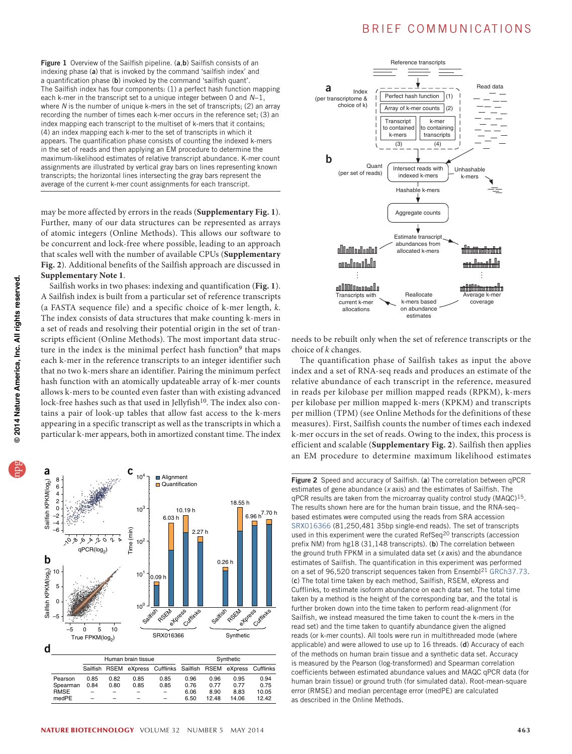## B R I E F COMMUNICATIONS

<span id="page-1-0"></span>Figure 1 Overview of the Sailfish pipeline. (a,b) Sailfish consists of an indexing phase (a) that is invoked by the command 'sailfish index' and a quantification phase (b) invoked by the command 'sailfish quant'. The Sailfish index has four components: (1) a perfect hash function mapping each k-mer in the transcript set to a unique integer between 0 and *N*−1, where *N* is the number of unique k-mers in the set of transcripts; (2) an array recording the number of times each k-mer occurs in the reference set; (3) an index mapping each transcript to the multiset of k-mers that it contains; (4) an index mapping each k-mer to the set of transcripts in which it appears. The quantification phase consists of counting the indexed k-mers in the set of reads and then applying an EM procedure to determine the maximum-likelihood estimates of relative transcript abundance. K-mer count assignments are illustrated by vertical gray bars on lines representing known transcripts; the horizontal lines intersecting the gray bars represent the average of the current k-mer count assignments for each transcript.

may be more affected by errors in the reads (**Supplementary Fig. 1**). Further, many of our data structures can be represented as arrays of atomic integers (Online Methods). This allows our software to be concurrent and lock-free where possible, leading to an approach that scales well with the number of available CPUs (**Supplementary Fig. 2**). Additional benefits of the Sailfish approach are discussed in **Supplementary Note 1**.

Sailfish works in two phases: indexing and quantification (**[Fig. 1](#page-1-0)**). A Sailfish index is built from a particular set of reference transcripts (a FASTA sequence file) and a specific choice of k-mer length, *k*. The index consists of data structures that make counting k-mers in a set of reads and resolving their potential origin in the set of transcripts efficient (Online Methods). The most important data struc-ture in the index is the minimal perfect hash function<sup>[9](#page-2-7)</sup> that maps each k-mer in the reference transcripts to an integer identifier such that no two k-mers share an identifier. Pairing the minimum perfect hash function with an atomically updateable array of k-mer counts allows k-mers to be counted even faster than with existing advanced lock-free hashes such as that used in Jellyfish<sup>[10](#page-2-8)</sup>. The index also contains a pair of look-up tables that allow fast access to the k-mers appearing in a specific transcript as well as the transcripts in which a particular k-mer appears, both in amortized constant time. The index



|             | Human brain tissue |      |      |                                                                 | Synthetic |       |       |       |
|-------------|--------------------|------|------|-----------------------------------------------------------------|-----------|-------|-------|-------|
|             |                    |      |      | Sailfish RSEM eXpress Cufflinks Sailfish RSEM eXpress Cufflinks |           |       |       |       |
| Pearson     | 0.85               | 0.82 | 0.85 | 0.85                                                            | 0.96      | 0.96  | 0.95  | 0.94  |
| Spearman    | 0.84               | 0.80 | 0.85 | 0.85                                                            | 0.76      | 0.77  | 0.77  | 0.75  |
| <b>RMSE</b> |                    |      |      |                                                                 | 6.06      | 8.90  | 8.83  | 10.05 |
| medPE       | -                  |      |      | $=$                                                             | 6.50      | 12.48 | 14.06 | 12.42 |



needs to be rebuilt only when the set of reference transcripts or the choice of *k* changes.

The quantification phase of Sailfish takes as input the above index and a set of RNA-seq reads and produces an estimate of the relative abundance of each transcript in the reference, measured in reads per kilobase per million mapped reads (RPKM), k-mers per kilobase per million mapped k-mers (KPKM) and transcripts per million (TPM) (see Online Methods for the definitions of these measures). First, Sailfish counts the number of times each indexed k-mer occurs in the set of reads. Owing to the index, this process is efficient and scalable (**Supplementary Fig. 2**). Sailfish then applies an EM procedure to determine maximum likelihood estimates

<span id="page-1-1"></span>Figure 2 Speed and accuracy of Sailfish. (a) The correlation between qPCR estimates of gene abundance (*x* axis) and the estimates of Sailfish. The  $qPCR$  results are taken from the microarray quality control study (MAQC)<sup>15</sup>. The results shown here are for the human brain tissue, and the RNA-seq– based estimates were computed using the reads from SRA accession [SRX016366](http://www.ncbi.nlm.nih.gov/sra/?term=SRX016366) (81,250,481 35bp single-end reads). The set of transcripts used in this experiment were the curated RefSeq<sup>20</sup> transcripts (accession prefix NM) from hg18 (31,148 transcripts). (b) The correlation between the ground truth FPKM in a simulated data set (*x* axis) and the abundance estimates of Sailfish. The quantification in this experiment was performed on a set of 96,520 transcript sequences taken from Ensembl<sup>[21](#page-2-11)</sup> [GRCh37.73.](ftp://ftp.ensembl.org/pub/release-73/gtf/homo_sapiens/) (c) The total time taken by each method, Sailfish, RSEM, eXpress and Cufflinks, to estimate isoform abundance on each data set. The total time taken by a method is the height of the corresponding bar, and the total is further broken down into the time taken to perform read-alignment (for Sailfish, we instead measured the time taken to count the k-mers in the read set) and the time taken to quantify abundance given the aligned reads (or k-mer counts). All tools were run in multithreaded mode (where applicable) and were allowed to use up to 16 threads. (d) Accuracy of each of the methods on human brain tissue and a synthetic data set. Accuracy is measured by the Pearson (log-transformed) and Spearman correlation coefficients between estimated abundance values and MAQC qPCR data (for human brain tissue) or ground truth (for simulated data). Root-mean-square error (RMSE) and median percentage error (medPE) are calculated as described in the Online Methods.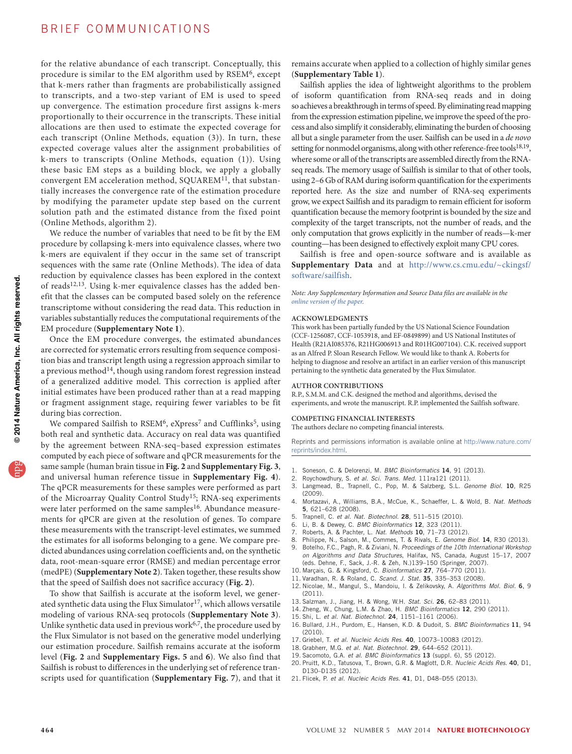### BRIEF COMMUNICATIONS

for the relative abundance of each transcript. Conceptually, this procedure is similar to the EM algorithm used by RSEM<sup>[6](#page-2-12)</sup>, except that k-mers rather than fragments are probabilistically assigned to transcripts, and a two-step variant of EM is used to speed up convergence. The estimation procedure first assigns k-mers proportionally to their occurrence in the transcripts. These initial allocations are then used to estimate the expected coverage for each transcript (Online Methods, equation (3)). In turn, these expected coverage values alter the assignment probabilities of k-mers to transcripts (Online Methods, equation (1)). Using these basic EM steps as a building block, we apply a globally convergent EM acceleration method, SQUAREM<sup>11</sup>, that substantially increases the convergence rate of the estimation procedure by modifying the parameter update step based on the current solution path and the estimated distance from the fixed point (Online Methods, algorithm 2).

We reduce the number of variables that need to be fit by the EM procedure by collapsing k-mers into equivalence classes, where two k-mers are equivalent if they occur in the same set of transcript sequences with the same rate (Online Methods). The idea of data reduction by equivalence classes has been explored in the context of reads<sup>[12,](#page-2-14)13</sup>. Using k-mer equivalence classes has the added benefit that the classes can be computed based solely on the reference transcriptome without considering the read data. This reduction in variables substantially reduces the computational requirements of the EM procedure (**Supplementary Note 1**).

Once the EM procedure converges, the estimated abundances are corrected for systematic errors resulting from sequence composition bias and transcript length using a regression approach similar to a previous method<sup>[14](#page-2-16)</sup>, though using random forest regression instead of a generalized additive model. This correction is applied after initial estimates have been produced rather than at a read mapping or fragment assignment stage, requiring fewer variables to be fit during bias correction.

We compared Sailfish to  $RSEM<sup>6</sup>$  $RSEM<sup>6</sup>$  $RSEM<sup>6</sup>$ , eXpress<sup>[7](#page-2-5)</sup> and Cufflinks<sup>[5](#page-2-4)</sup>, using both real and synthetic data. Accuracy on real data was quantified by the agreement between RNA-seq–based expression estimates computed by each piece of software and qPCR measurements for the same sample (human brain tissue in **[Fig. 2](#page-1-1)** and **Supplementary Fig. 3**, and universal human reference tissue in **Supplementary Fig. 4**). The qPCR measurements for these samples were performed as part of the Microarray Quality Control Study[15;](#page-2-9) RNA-seq experiments were later performed on the same samples<sup>[16](#page-2-9)</sup>. Abundance measurements for qPCR are given at the resolution of genes. To compare these measurements with the transcript-level estimates, we summed the estimates for all isoforms belonging to a gene. We compare predicted abundances using correlation coefficients and, on the synthetic data, root-mean-square error (RMSE) and median percentage error (medPE) (**Supplementary Note 2**). Taken together, these results show that the speed of Sailfish does not sacrifice accuracy (**[Fig. 2](#page-1-1)**).

To show that Sailfish is accurate at the isoform level, we gener-ated synthetic data using the Flux Simulator<sup>[17](#page-2-17)</sup>, which allows versatile modeling of various RNA-seq protocols (**Supplementary Note 3**). Unlike synthetic data used in previous work $6,7$  $6,7$ , the procedure used by the Flux Simulator is not based on the generative model underlying our estimation procedure. Sailfish remains accurate at the isoform level (**[Fig. 2](#page-1-1)** and **Supplementary Figs. 5** and **6**). We also find that Sailfish is robust to differences in the underlying set of reference transcripts used for quantification (**Supplementary Fig. 7**), and that it remains accurate when applied to a collection of highly similar genes (**Supplementary Table 1**).

Sailfish applies the idea of lightweight algorithms to the problem of isoform quantification from RNA-seq reads and in doing so achieves a breakthrough in terms of speed. By eliminating read mapping from the expression estimation pipeline, we improve the speed of the process and also simplify it considerably, eliminating the burden of choosing all but a single parameter from the user. Sailfish can be used in a *de novo* setting for nonmodel organisms, along with other reference-free tools<sup>[18,](#page-2-18)[19](#page-2-19)</sup>, where some or all of the transcripts are assembled directly from the RNAseq reads. The memory usage of Sailfish is similar to that of other tools, using 2–6 Gb of RAM during isoform quantification for the experiments reported here. As the size and number of RNA-seq experiments grow, we expect Sailfish and its paradigm to remain efficient for isoform quantification because the memory footprint is bounded by the size and complexity of the target transcripts, not the number of reads, and the only computation that grows explicitly in the number of reads—k-mer counting—has been designed to effectively exploit many CPU cores.

Sailfish is free and open-source software and is available as **Supplementary Data** and at [http://www.cs.cmu.edu/~ckingsf/](http://www.cs.cmu.edu/~ckingsf/software/sailfish) [software/sailfish](http://www.cs.cmu.edu/~ckingsf/software/sailfish).

#### *Note: Any Supplementary Information and Source Data files are available in the online [version](http://www.nature.com/doifinder/10.1038/nbt.2862) of the paper.*

#### **Acknowledgments**

This work has been partially funded by the US National Science Foundation (CCF-1256087, CCF-1053918, and EF-0849899) and US National Institutes of Health (R21AI085376, R21HG006913 and R01HG007104). C.K. received support as an Alfred P. Sloan Research Fellow. We would like to thank A. Roberts for helping to diagnose and resolve an artifact in an earlier version of this manuscript pertaining to the synthetic data generated by the Flux Simulator.

#### **Author Contributions**

R.P., S.M.M. and C.K. designed the method and algorithms, devised the experiments, and wrote the manuscript. R.P. implemented the Sailfish software.

#### **COMPETING FINANCIAL INTERESTS**

The authors declare no competing financial interests.

Reprints and permissions information is available online at [http://www.nature.com/](http://www.nature.com/reprints/index.html) [reprints/index.html.](http://www.nature.com/reprints/index.html)

- <span id="page-2-0"></span>1. Soneson, C. & Delorenzi, M. *BMC Bioinformatics* 14, 91 (2013).
- <span id="page-2-1"></span>2. Roychowdhury, S. *et al. Sci. Trans. Med.* 111ra121 (2011).
- <span id="page-2-2"></span>3. Langmead, B., Trapnell, C., Pop, M. & Salzberg, S.L. *Genome Biol.* 10, R25 (2009).
- <span id="page-2-3"></span>4. Mortazavi, A., Williams, B.A., McCue, K., Schaeffer, L. & Wold, B. *Nat. Methods* 5, 621–628 (2008).
- <span id="page-2-4"></span>5. Trapnell, C. *et al. Nat. Biotechnol.* 28, 511–515 (2010).
- <span id="page-2-12"></span>6. Li, B. & Dewey, C. *BMC Bioinformatics* 12, 323 (2011).
- <span id="page-2-5"></span>7. Roberts, A. & Pachter, L. *Nat. Methods* 10, 71–73 (2012).
- <span id="page-2-7"></span><span id="page-2-6"></span>8. Philippe, N., Salson, M., Commes, T. & Rivals, E. *Genome Biol.* 14, R30 (2013). 9. Botelho, F.C., Pagh, R. & Ziviani, N. *Proceedings of the 10th International Workshop on Algorithms and Data Structures*, Halifax, NS, Canada, August 15–17, 2007 (eds. Dehne, F., Sack, J.-R. & Zeh, N.)139–150 (Springer, 2007).
- <span id="page-2-8"></span>10. Marçais, G. & Kingsford, C. *Bioinformatics* 27, 764–770 (2011).
- <span id="page-2-13"></span>11. Varadhan, R. & Roland, C. *Scand. J. Stat.* 35, 335–353 (2008).
- <span id="page-2-14"></span>12. Nicolae, M., Mangul, S., Mandoiu, I. & Zelikovsky, A. *Algorithms Mol. Biol.* 6, 9 (2011).
- <span id="page-2-15"></span>13. Salzman, J., Jiang, H. & Wong, W.H. *Stat. Sci.* 26, 62–83 (2011).
- <span id="page-2-16"></span>14. Zheng, W., Chung, L.M. & Zhao, H. *BMC Bioinformatics* 12, 290 (2011).
- <span id="page-2-9"></span>15. Shi, L. *et al. Nat. Biotechnol.* 24, 1151–1161 (2006).
- 16. Bullard, J.H., Purdom, E., Hansen, K.D. & Dudoit, S. *BMC Bioinformatics* 11, 94 (2010).
- <span id="page-2-17"></span>17. Griebel, T. *et al. Nucleic Acids Res.* 40, 10073–10083 (2012).
- <span id="page-2-18"></span>18. Grabherr, M.G. *et al. Nat. Biotechnol.* 29, 644–652 (2011).
- <span id="page-2-19"></span>19. Sacomoto, G.A. *et al. BMC Bioinformatics* 13 (suppl. 6), S5 (2012).
- <span id="page-2-10"></span>20. Pruitt, K.D., Tatusova, T., Brown, G.R. & Maglott, D.R. *Nucleic Acids Res.* 40, D1, D130–D135 (2012).
- <span id="page-2-11"></span>21. Flicek, P. *et al. Nucleic Acids Res.* 41, D1, D48–D55 (2013).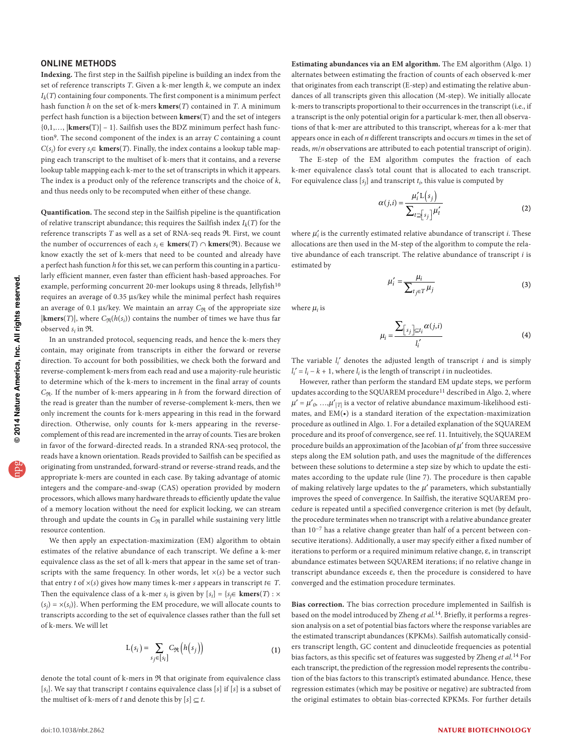### ONLINE METHODS

**Indexing.** The first step in the Sailfish pipeline is building an index from the set of reference transcripts *T*. Given a k-mer length *k*, we compute an index *Ik*(*T*) containing four components. The first component is a minimum perfect hash function *h* on the set of k-mers **kmers**(*T*) contained in *T*. A minimum perfect hash function is a bijection between **kmers**(T) and the set of integers {0,1,…, |**kmers(**T)| – 1}. Sailfish uses the BDZ minimum perfect hash function9. The second component of the index is an array *C* containing a count *C*( $s_i$ ) for every  $s_i \in \textbf{kmers}(T)$ . Finally, the index contains a lookup table mapping each transcript to the multiset of k-mers that it contains, and a reverse lookup table mapping each k-mer to the set of transcripts in which it appears. The index is a product only of the reference transcripts and the choice of *k*, and thus needs only to be recomputed when either of these change.

**Quantification.** The second step in the Sailfish pipeline is the quantification of relative transcript abundance; this requires the Sailfish index  $I_k(T)$  for the reference transcripts *T* as well as a set of RNA-seq reads R. First, we count the number of occurrences of each  $s_i$  ∈ **kmers**(*T*)  $\cap$  **kmers**( $\Re$ ). Because we know exactly the set of k-mers that need to be counted and already have a perfect hash function *h* for this set, we can perform this counting in a particularly efficient manner, even faster than efficient hash-based approaches. For example, performing concurrent 20-mer lookups using 8 threads, Jellyfish<sup>10</sup> requires an average of 0.35 µs/key while the minimal perfect hash requires an average of 0.1  $\mu$ s/key. We maintain an array  $C_{\Re}$  of the appropriate size  $|\mathbf{kmers}(T)|$ , where  $C_{\Re}(h(s_i))$  contains the number of times we have thus far observed *si* in R.

In an unstranded protocol, sequencing reads, and hence the k-mers they contain, may originate from transcripts in either the forward or reverse direction. To account for both possibilities, we check both the forward and reverse-complement k-mers from each read and use a majority-rule heuristic to determine which of the k-mers to increment in the final array of counts *C*<sub>R</sub>. If the number of k-mers appearing in *h* from the forward direction of the read is greater than the number of reverse-complement k-mers, then we only increment the counts for k-mers appearing in this read in the forward direction. Otherwise, only counts for k-mers appearing in the reversecomplement of this read are incremented in the array of counts. Ties are broken in favor of the forward-directed reads. In a stranded RNA-seq protocol, the reads have a known orientation. Reads provided to Sailfish can be specified as originating from unstranded, forward-strand or reverse-strand reads, and the appropriate k-mers are counted in each case. By taking advantage of atomic integers and the compare-and-swap (CAS) operation provided by modern processors, which allows many hardware threads to efficiently update the value of a memory location without the need for explicit locking, we can stream through and update the counts in  $C_{\Re}$  in parallel while sustaining very little resource contention.

We then apply an expectation-maximization (EM) algorithm to obtain estimates of the relative abundance of each transcript. We define a k-mer equivalence class as the set of all k-mers that appear in the same set of transcripts with the same frequency. In other words, let  $\times$ ( $s$ ) be a vector such that entry *t* of *×*(*s*) gives how many times k-mer *s* appears in transcript *t*∈ *T*. Then the equivalence class of a k-mer  $s_i$  is given by  $[s_i] = \{s_j \in \text{kmers}(T) : x \in S_j\}$  $(s_j) = x(s_j)$ . When performing the EM procedure, we will allocate counts to transcripts according to the set of equivalence classes rather than the full set of k-mers. We will let

$$
L(s_i) = \sum_{s_j \in [s_i]} C_{\Re}\left(h(s_j)\right) \tag{1}
$$

denote the total count of k-mers in R that originate from equivalence class [*si*]. We say that transcript *t* contains equivalence class [*s*] if [*s*] is a subset of the multiset of k-mers of *t* and denote this by  $[s] \subseteq t$ .

**Estimating abundances via an EM algorithm.** The EM algorithm (Algo. 1) alternates between estimating the fraction of counts of each observed k-mer that originates from each transcript (E-step) and estimating the relative abundances of all transcripts given this allocation (M-step). We initially allocate k-mers to transcripts proportional to their occurrences in the transcript (i.e., if a transcript is the only potential origin for a particular k-mer, then all observations of that k-mer are attributed to this transcript, whereas for a k-mer that appears once in each of *n* different transcripts and occurs *m* times in the set of reads, *m*/*n* observations are attributed to each potential transcript of origin).

The E-step of the EM algorithm computes the fraction of each k-mer equivalence class's total count that is allocated to each transcript. For equivalence class  $[s_i]$  and transcript  $t_i$ , this value is computed by

$$
\alpha(j,i) = \frac{\mu_i^{\prime} \mathcal{L}(s_j)}{\sum_{t \supseteq \{s_j\}} \mu_t^{\prime}}
$$
\n(2)

where  $\mu'_i$  is the currently estimated relative abundance of transcript  $i$ . These allocations are then used in the M-step of the algorithm to compute the relative abundance of each transcript. The relative abundance of transcript *i* is estimated by

$$
\mu'_i = \frac{\mu_i}{\sum_{t_j \in T} \mu_j} \tag{3}
$$

where  $\mu_i$  is

$$
\mu_i = \frac{\sum_{\left[s_j\right] \subseteq t_i} \alpha(j,i)}{l'_i} \tag{4}
$$

The variable *li*′ denotes the adjusted length of transcript *i* and is simply  $l_i' = l_i - k + 1$ , where  $l_i$  is the length of transcript *i* in nucleotides.

However, rather than perform the standard EM update steps, we perform updates according to the SQUAREM procedure<sup>11</sup> described in Algo. 2, where  $\mu' = \mu'_{0}, \ldots, \mu'_{|T|}$  is a vector of relative abundance maximum-likelihood estimates, and EM(•) is a standard iteration of the expectation-maximization procedure as outlined in Algo. 1. For a detailed explanation of the SQUAREM procedure and its proof of convergence, see ref. 11. Intuitively, the SQUAREM procedure builds an approximation of the Jacobian of  $\mu'$  from three successive steps along the EM solution path, and uses the magnitude of the differences between these solutions to determine a step size by which to update the estimates according to the update rule (line 7). The procedure is then capable of making relatively large updates to the  $\mu'$  parameters, which substantially improves the speed of convergence. In Sailfish, the iterative SQUAREM procedure is repeated until a specified convergence criterion is met (by default, the procedure terminates when no transcript with a relative abundance greater than 10−7 has a relative change greater than half of a percent between consecutive iterations). Additionally, a user may specify either a fixed number of iterations to perform or a required minimum relative change, ε, in transcript abundance estimates between SQUAREM iterations; if no relative change in transcript abundance exceeds ε, then the procedure is considered to have converged and the estimation procedure terminates.

**Bias correction.** The bias correction procedure implemented in Sailfish is based on the model introduced by Zheng *et al.*14. Briefly, it performs a regression analysis on a set of potential bias factors where the response variables are the estimated transcript abundances (KPKMs). Sailfish automatically considers transcript length, GC content and dinucleotide frequencies as potential bias factors, as this specific set of features was suggested by Zheng *et al.*14 For each transcript, the prediction of the regression model represents the contribution of the bias factors to this transcript's estimated abundance. Hence, these regression estimates (which may be positive or negative) are subtracted from the original estimates to obtain bias-corrected KPKMs. For further details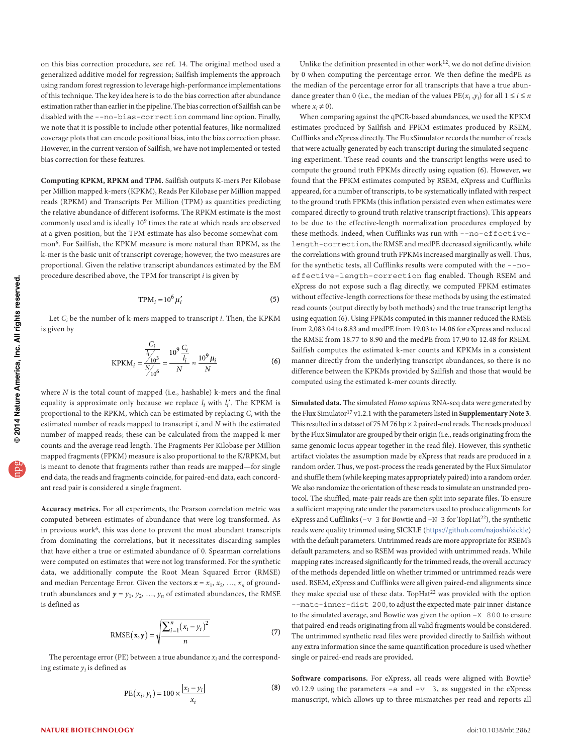on this bias correction procedure, see ref. 14. The original method used a generalized additive model for regression; Sailfish implements the approach using random forest regression to leverage high-performance implementations of this technique. The key idea here is to do the bias correction after abundance estimation rather than earlier in the pipeline. The bias correction of Sailfish can be disabled with the --no-bias-correction command line option. Finally, we note that it is possible to include other potential features, like normalized coverage plots that can encode positional bias, into the bias correction phase. However, in the current version of Sailfish, we have not implemented or tested bias correction for these features.

**Computing KPKM, RPKM and TPM.** Sailfish outputs K-mers Per Kilobase per Million mapped k-mers (KPKM), Reads Per Kilobase per Million mapped reads (RPKM) and Transcripts Per Million (TPM) as quantities predicting the relative abundance of different isoforms. The RPKM estimate is the most commonly used and is ideally 109 times the rate at which reads are observed at a given position, but the TPM estimate has also become somewhat common6. For Sailfish, the KPKM measure is more natural than RPKM, as the k-mer is the basic unit of transcript coverage; however, the two measures are proportional. Given the relative transcript abundances estimated by the EM procedure described above, the TPM for transcript *i* is given by

$$
TPM_i = 10^6 \,\mu'_i \tag{5}
$$

Let *Ci* be the number of k-mers mapped to transcript *i*. Then, the KPKM is given by

$$
KPKM_i = \frac{\frac{C_i}{l_i/10^3}}{\frac{N}{l_10^6}} = \frac{10^9 \frac{C_i}{l_i}}{N} \approx \frac{10^9 \mu_i}{N}
$$
 (6)

where *N* is the total count of mapped (i.e., hashable) k-mers and the final equality is approximate only because we replace *li* with *li*′. The KPKM is proportional to the RPKM, which can be estimated by replacing *Ci* with the estimated number of reads mapped to transcript *i*, and *N* with the estimated number of mapped reads; these can be calculated from the mapped k-mer counts and the average read length. The Fragments Per Kilobase per Million mapped fragments (FPKM) measure is also proportional to the K/RPKM, but is meant to denote that fragments rather than reads are mapped—for single end data, the reads and fragments coincide, for paired-end data, each concordant read pair is considered a single fragment.

**Accuracy metrics.** For all experiments, the Pearson correlation metric was computed between estimates of abundance that were log transformed. As in previous work $6$ , this was done to prevent the most abundant transcripts from dominating the correlations, but it necessitates discarding samples that have either a true or estimated abundance of 0. Spearman correlations were computed on estimates that were not log transformed. For the synthetic data, we additionally compute the Root Mean Squared Error (RMSE) and median Percentage Error. Given the vectors  $x = x_1, x_2, ..., x_n$  of groundtruth abundances and  $y = y_1, y_2, ..., y_n$  of estimated abundances, the RMSE is defined as

$$
RMSE(\mathbf{x}, \mathbf{y}) = \sqrt{\frac{\sum_{i=1}^{n} (x_i - y_i)^2}{n}}
$$
(7)

The percentage error (PE) between a true abundance  $x_i$  and the corresponding estimate  $y_i$  is defined as

$$
PE(x_i, y_i) = 100 \times \frac{|x_i - y_i|}{x_i}
$$
 (8)

Unlike the definition presented in other work $12$ , we do not define division by 0 when computing the percentage error. We then define the medPE as the median of the percentage error for all transcripts that have a true abundance greater than 0 (i.e., the median of the values  $PE(x_i, y_i)$  for all  $1 \le i \le n$ where  $x_i \neq 0$ ).

When comparing against the qPCR-based abundances, we used the KPKM estimates produced by Sailfish and FPKM estimates produced by RSEM, Cufflinks and eXpress directly. The FluxSimulator records the number of reads that were actually generated by each transcript during the simulated sequencing experiment. These read counts and the transcript lengths were used to compute the ground truth FPKMs directly using equation (6). However, we found that the FPKM estimates computed by RSEM, eXpress and Cufflinks appeared, for a number of transcripts, to be systematically inflated with respect to the ground truth FPKMs (this inflation persisted even when estimates were compared directly to ground truth relative transcript fractions). This appears to be due to the effective-length normalization procedures employed by these methods. Indeed, when Cufflinks was run with --no-effectivelength-correction, the RMSE and medPE decreased significantly, while the correlations with ground truth FPKMs increased marginally as well. Thus, for the synthetic tests, all Cufflinks results were computed with the --noeffective-length-correction flag enabled. Though RSEM and eXpress do not expose such a flag directly, we computed FPKM estimates without effective-length corrections for these methods by using the estimated read counts (output directly by both methods) and the true transcript lengths using equation (6). Using FPKMs computed in this manner reduced the RMSE from 2,083.04 to 8.83 and medPE from 19.03 to 14.06 for eXpress and reduced the RMSE from 18.77 to 8.90 and the medPE from 17.90 to 12.48 for RSEM. Sailfish computes the estimated k-mer counts and KPKMs in a consistent manner directly from the underlying transcript abundances, so there is no difference between the KPKMs provided by Sailfish and those that would be computed using the estimated k-mer counts directly.

**Simulated data.** The simulated *Homo sapiens* RNA-seq data were generated by the Flux Simulator17 v1.2.1 with the parameters listed in **Supplementary Note 3**. This resulted in a dataset of 75 M 76 bp  $\times$  2 paired-end reads. The reads produced by the Flux Simulator are grouped by their origin (i.e., reads originating from the same genomic locus appear together in the read file). However, this synthetic artifact violates the assumption made by eXpress that reads are produced in a random order. Thus, we post-process the reads generated by the Flux Simulator and shuffle them (while keeping mates appropriately paired) into a random order. We also randomize the orientation of these reads to simulate an unstranded protocol. The shuffled, mate-pair reads are then split into separate files. To ensure a sufficient mapping rate under the parameters used to produce alignments for eXpress and Cufflinks (−v 3 for Bowtie and −N 3 for TopHat<sup>22</sup>), the synthetic reads were quality trimmed using SICKLE [\(https://github.com/najoshi/sickle\)](https://github.com/najoshi/sickle) with the default parameters. Untrimmed reads are more appropriate for RSEM's default parameters, and so RSEM was provided with untrimmed reads. While mapping rates increased significantly for the trimmed reads, the overall accuracy of the methods depended little on whether trimmed or untrimmed reads were used. RSEM, eXpress and Cufflinks were all given paired-end alignments since they make special use of these data. TopHat<sup>22</sup> was provided with the option --mate-inner-dist 200, to adjust the expected mate-pair inner-distance to the simulated average, and Bowtie was given the option −X 800 to ensure that paired-end reads originating from all valid fragments would be considered. The untrimmed synthetic read files were provided directly to Sailfish without any extra information since the same quantification procedure is used whether single or paired-end reads are provided.

Software comparisons. For eXpress, all reads were aligned with Bowtie<sup>3</sup> v0.12.9 using the parameters −a and −v 3, as suggested in the eXpress manuscript, which allows up to three mismatches per read and reports all